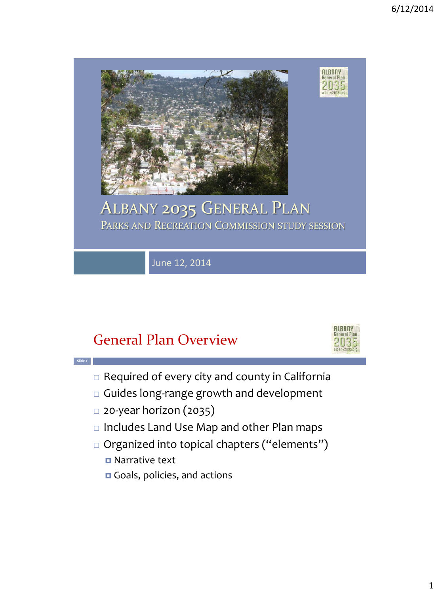

# General Plan Overview



- $\Box$  Required of every city and county in California
- Guides long-range growth and development
- 20-year horizon (2035)
- □ Includes Land Use Map and other Plan maps
- □ Organized into topical chapters ("elements")
	- **D** Narrative text

**Slide 2**

Goals, policies, and actions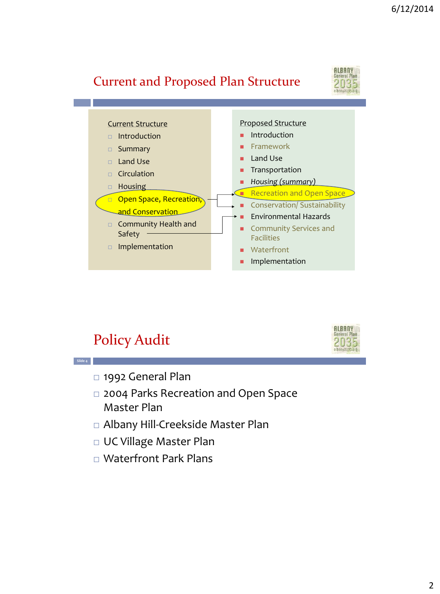### Current and Proposed Plan Structure





# Policy Audit

**Slide 4**



- □ 1992 General Plan
- □ 2004 Parks Recreation and Open Space Master Plan
- Albany Hill-Creekside Master Plan
- UC Village Master Plan
- Waterfront Park Plans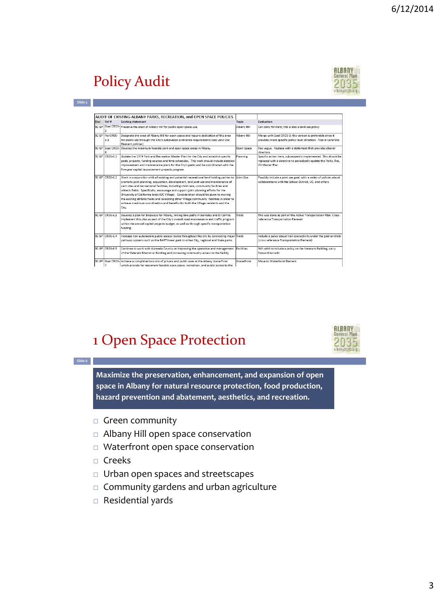# Policy Audit

**Slide 5**



|          |                        | AUDIT OF EXISTING ALBANY PARKS, RECREATION, and OPEN SPACE POLICIES                                                                                                                                                                                                                                                                                                                                                                                                                                                                                                                                                                                |             |                                                                                                                                                      |
|----------|------------------------|----------------------------------------------------------------------------------------------------------------------------------------------------------------------------------------------------------------------------------------------------------------------------------------------------------------------------------------------------------------------------------------------------------------------------------------------------------------------------------------------------------------------------------------------------------------------------------------------------------------------------------------------------|-------------|------------------------------------------------------------------------------------------------------------------------------------------------------|
| Doc Ref# |                        | <b>Existing statement</b>                                                                                                                                                                                                                                                                                                                                                                                                                                                                                                                                                                                                                          | Topic       | Evaluation                                                                                                                                           |
|          |                        | 92 GP Goal CROS- Preserve the crest of Albany Hill for public open space use.                                                                                                                                                                                                                                                                                                                                                                                                                                                                                                                                                                      | Albany Hill | Can carry forward; this is also a land use policy                                                                                                    |
|          | 92 GP Pol CROS-<br>3.1 | Designate the crest of Albany Hill for open space and require dedication of this area<br>for public use through the City's subdivision ordinance requirements (see Land Use<br>Element policies)                                                                                                                                                                                                                                                                                                                                                                                                                                                   | Albany Hill | Merge with Goal CROS-3; this version is preferable since it<br>provides more specific policy-level direction. Also in Land Use                       |
|          |                        | 92 GP Goal CROS- Develop the maximum feasible park and open space areas in Albany.                                                                                                                                                                                                                                                                                                                                                                                                                                                                                                                                                                 | Open Space  | Too vague. Replace with a statement that provides clearer<br>direction                                                                               |
|          | 92 GP CROS-6.1         | Update the 1974 Park and Recreation Master Plan for the City and establish specific<br>goals, projects, funding sources and time schedules. This work should include detailed<br>improvement and maintenance plans for the City's parks and be coordinated with the<br>five-year capital improvement projects program.                                                                                                                                                                                                                                                                                                                             | Planning    | Specific action item, subsequently implemented. This should be<br>replaced with a directive to periodically update the Parks. Rec.<br>OS Master Plan |
|          | 92 GP CROS-6.2         | Work in conjunction with all existing and potential recreational land holding parties to<br>promote joint planning, acquisition, development, and joint use and maintenance of<br>park sites and recreational facilities, including child care, community facilities and<br>athletic fields. Specifically, encourage and support joint planning efforts for the<br>University of California lands (UC Village). Consideration should be given to moving<br>the existing athletic fields and relocating other Village community facilities in order to<br>achieve maximum coordination and benefits for both the Village residents and the<br>City. | Joint Use   | Possibly include a joint use goal, with a series of policies about<br>collaborations with the School District. UC. and others                        |
|          | 92 GP CROS-6.3         | Develop a plan for bikeways for Albany, linking bike paths in Berkeley and El Cerrito.<br>Implement this plan as part of the City's overall road maintenance and traffic program<br>within the annual capital projects budget, as well as through specific transportation<br>funding.                                                                                                                                                                                                                                                                                                                                                              | Trails      | This was done as part of the Active Transportation Plan. Cross-<br>reference Transportation Element                                                  |
|          | 92 GP CROS-6.4         | Increase non-automobile public access routes throughout the city by connecting major Trails<br>pathway systems such as the BART linear park to other City, regional and State parks.                                                                                                                                                                                                                                                                                                                                                                                                                                                               |             | Include a policy about trail connectivity under the goal on trails<br>(cross reference Transportation Element)                                       |
|          | 92 GP CROS-6.5         | Continue to work with Alameda County on improving the operation and management<br>of the Veterans Memorial Building and increasing community access to the facility.                                                                                                                                                                                                                                                                                                                                                                                                                                                                               | Facilities  | Still valid to include a policy on the Veterans Building, carry<br>forward but edit                                                                  |
|          |                        | 92 GP Goal CROS- Achieve a complimentary mix of private and public uses at the Albany Waterfront<br>which provide for maximum feasible open space, recreation, and public access to the                                                                                                                                                                                                                                                                                                                                                                                                                                                            | Waterfront  | Move to Waterfront Element                                                                                                                           |

### 1 Open Space Protection



**Maximize the preservation, enhancement, and expansion of open space in Albany for natural resource protection, food production, hazard prevention and abatement, aesthetics, and recreation.** 

- Green community
- Albany Hill open space conservation
- Waterfront open space conservation
- □ Creeks

**Slide 6**

- Urban open spaces and streetscapes
- Community gardens and urban agriculture
- Residential yards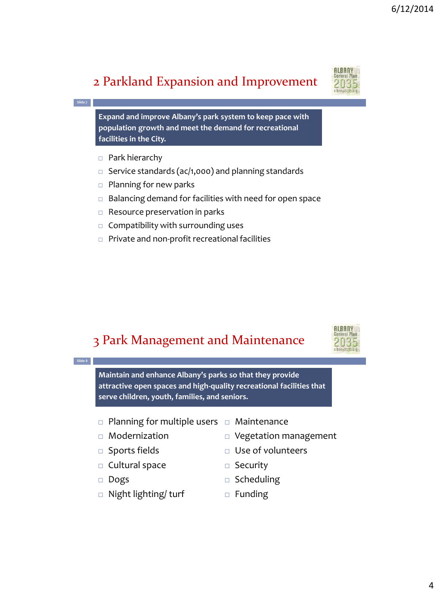### 2 Parkland Expansion and Improvement



**Expand and improve Albany's park system to keep pace with population growth and meet the demand for recreational facilities in the City.** 

□ Park hierarchy

**Slide 7**

**Slide 8**

- $\Box$  Service standards (ac/1,000) and planning standards
- $\Box$  Planning for new parks
- $\Box$  Balancing demand for facilities with need for open space
- $\Box$  Resource preservation in parks
- $\Box$  Compatibility with surrounding uses
- Private and non-profit recreational facilities

#### 3 Park Management and Maintenance



**Maintain and enhance Albany's parks so that they provide attractive open spaces and high-quality recreational facilities that serve children, youth, families, and seniors.**

- $\Box$  Planning for multiple users  $\Box$  Maintenance
- □ Modernization
- $\square$  Sports fields
- $\Box$  Cultural space
- Dogs
- □ Night lighting/ turf
- 
- Vegetation management
- Use of volunteers
- $\square$  Security
- $\square$  Scheduling
- $\Box$  Funding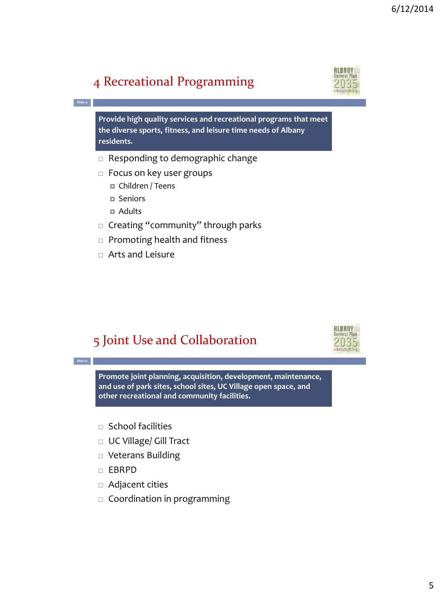### 4 Recreational Programming

**Provide high quality services and recreational programs that meet the diverse sports, fitness, and leisure time needs of Albany residents***.*

- $\Box$  Responding to demographic change
- $\Box$  Focus on key user groups
	- Children / Teens
	- **D** Seniors

**Slide 9**

**Slide 10**

- Adults
- □ Creating "community" through parks
- $\Box$  Promoting health and fitness
- Arts and Leisure

#### 5 Joint Use and Collaboration

**Promote joint planning, acquisition, development, maintenance, and use of park sites, school sites, UC Village open space, and other recreational and community facilities.** 

- $\Box$  School facilities
- □ UC Village/ Gill Tract
- □ Veterans Building
- $\Box$  FRRPD
- □ Adjacent cities
- $\Box$  Coordination in programming



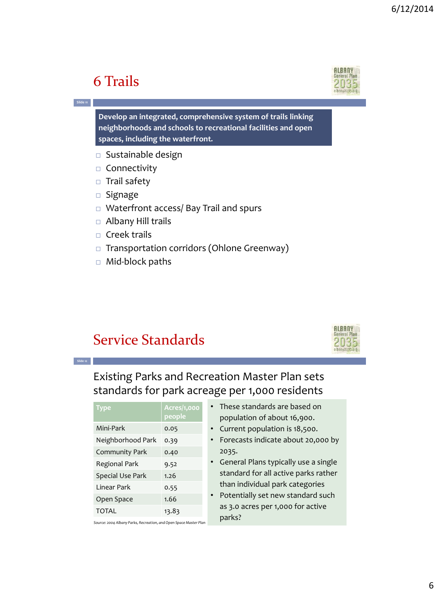# 6 Trails

**Slide 11**

**Slide 12**



**Develop an integrated, comprehensive system of trails linking neighborhoods and schools to recreational facilities and open spaces, including the waterfront***.*

- $\square$  Sustainable design
- $\Box$  Connectivity
- $\Box$  Trail safety
- $\square$  Signage
- □ Waterfront access/ Bay Trail and spurs
- □ Albany Hill trails
- $\Box$  Creek trails
- □ Transportation corridors (Ohlone Greenway)
- □ Mid-block paths

#### Service Standards



#### Existing Parks and Recreation Master Plan sets standards for park acreage per 1,000 residents

| Type               | Acres/1,000 |
|--------------------|-------------|
|                    | people      |
| Mini-Park          | 0.05        |
| Neighborhood Park  | 0.39        |
| Community Park     | 0.40        |
| Regional Park      | 9.52        |
| Special Use Park   | 1.26        |
| <b>Linear Park</b> | 0.55        |
| Open Space         | 1.66        |
| <b>TOTAL</b>       | 13.83       |
|                    |             |

*Source: 2004 Albany Parks, Recreation, and Open Space Master Plan*

- These standards are based on population of about 16,900.
- Current population is 18,500.
- Forecasts indicate about 20,000 by 2035.
- General Plans typically use a single standard for all active parks rather than individual park categories • Potentially set new standard such as 3.0 acres per 1,000 for active